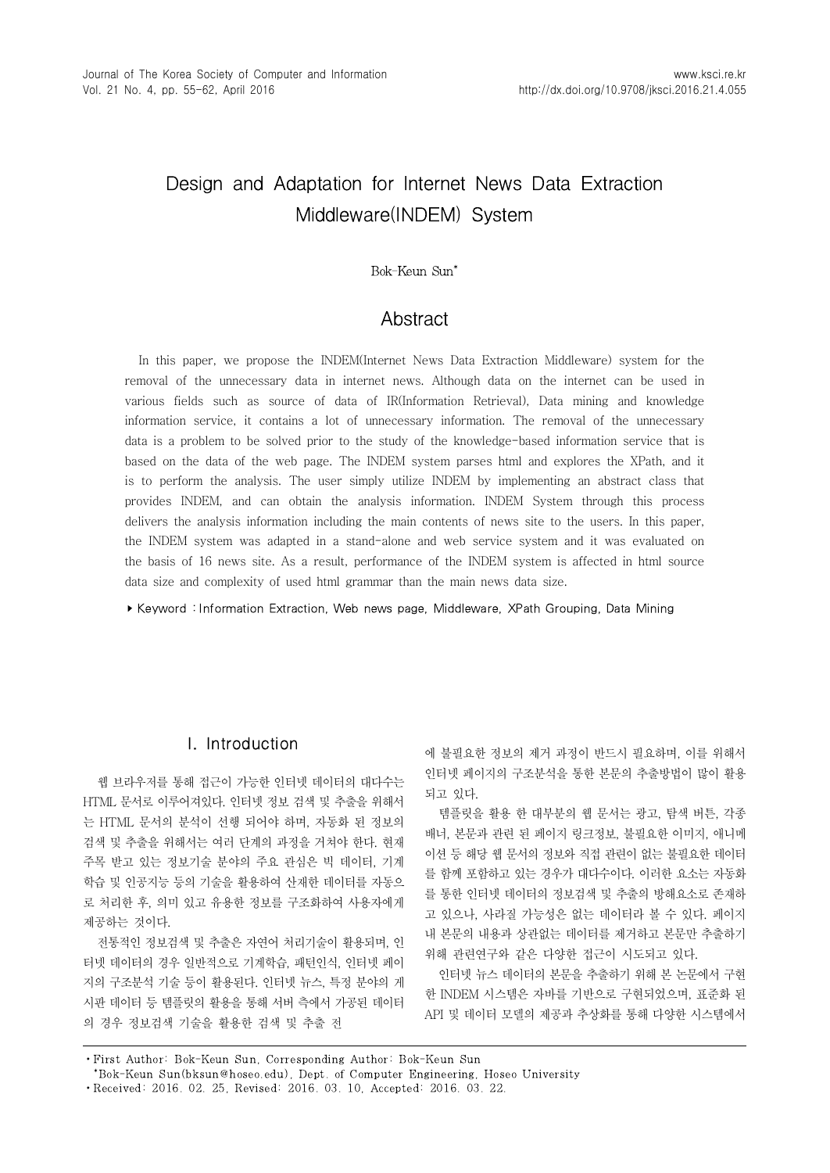# Design and Adaptation for Internet News Data Extraction Middleware(INDEM) System

# 1)Bok-Keun Sun\*

# **Abstract**

In this paper, we propose the INDEM(Internet News Data Extraction Middleware) system for the removal of the unnecessary data in internet news. Although data on the internet can be used in various fields such as source of data of IR(Information Retrieval), Data mining and knowledge information service, it contains a lot of unnecessary information. The removal of the unnecessary data is a problem to be solved prior to the study of the knowledge-based information service that is based on the data of the web page. The INDEM system parses html and explores the XPath, and it is to perform the analysis. The user simply utilize INDEM by implementing an abstract class that provides INDEM, and can obtain the analysis information. INDEM System through this process delivers the analysis information including the main contents of news site to the users. In this paper, the INDEM system was adapted in a stand-alone and web service system and it was evaluated on the basis of 16 news site. As a result, performance of the INDEM system is affected in html source data size and complexity of used html grammar than the main news data size.

▸Keyword : Information Extraction, Web news page, Middleware, XPath Grouping, Data Mining

# I. Introduction

웹 브라우저를 통해 접근이 가능한 인터넷 데이터의 대다수는 HTML 문서로 이루어져있다. 인터넷 정보 검색 및 추출을 위해서 는 HTML 문서의 분석이 선행 되어야 하며, 자동화 된 정보의 검색 및 추출을 위해서는 여러 단계의 과정을 거쳐야 한다. 현재 주목 받고 있는 정보기술 분야의 주요 관심은 빅 데이터, 기계 학습 및 인공지능 등의 기술을 활용하여 산재한 데이터를 자동으 로 처리한 후, 의미 있고 유용한 정보를 구조화하여 사용자에게 제공하는 것이다.

전통적인 정보검색 및 추출은 자연어 처리기술이 활용되며, 인 터넷 데이터의 경우 일반적으로 기계학습, 패턴인식, 인터넷 페이 지의 구조분석 기술 등이 활용된다. 인터넷 뉴스, 특정 분야의 게 시판 데이터 등 템플릿의 활용을 통해 서버 측에서 가공된 데이터 의 경우 정보검색 기술을 활용한 검색 및 추출 전

에 불필요한 정보의 제거 과정이 반드시 필요하며, 이를 위해서 인터넷 페이지의 구조분석을 통한 본문의 추출방법이 많이 활용 되고 있다.

템플릿을 활용 한 대부분의 웹 문서는 광고, 탐색 버튼, 각종 배너, 본문과 관련 된 페이지 링크정보, 불필요한 이미지, 애니메 이션 등 해당 웹 문서의 정보와 직접 관련이 없는 불필요한 데이터 를 함께 포함하고 있는 경우가 대다수이다. 이러한 요소는 자동화 를 통한 인터넷 데이터의 정보검색 및 추출의 방해요소로 존재하 고 있으나, 사라질 가능성은 없는 데이터라 볼 수 있다. 페이지 내 본문의 내용과 상관없는 데이터를 제거하고 본문만 추출하기 위해 관련연구와 같은 다양한 접근이 시도되고 있다.

인터넷 뉴스 데이터의 본문을 추출하기 위해 본 논문에서 구현 한 INDEM 시스템은 자바를 기반으로 구현되었으며, 표준화 된 API 및 데이터 모델의 제공과 추상화를 통해 다양한 시스템에서

<sup>∙</sup>First Author: Bok-Keun Sun, Corresponding Author: Bok-Keun Sun

<sup>\*</sup>Bok-Keun Sun(bksun@hoseo.edu), Dept. of Computer Engineering, Hoseo University

<sup>∙</sup>Received: 2016. 02. 25, Revised: 2016. 03. 10, Accepted: 2016. 03. 22.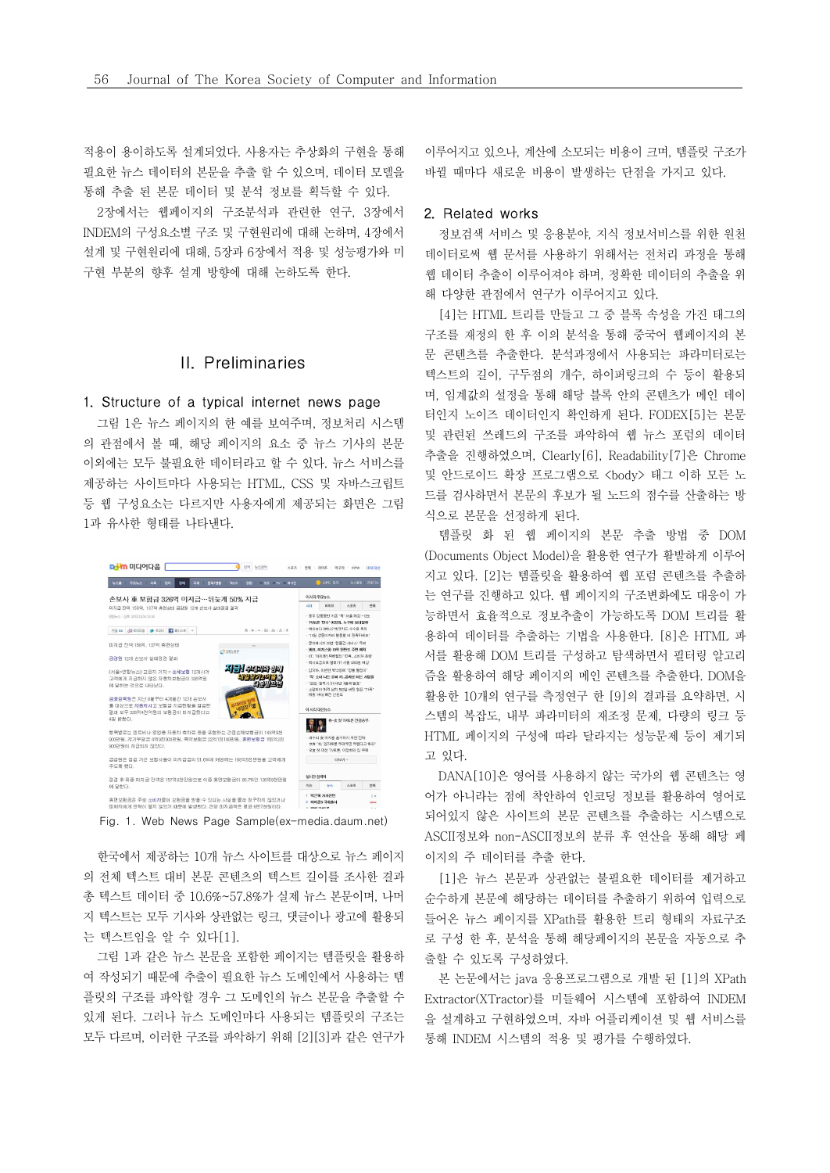적용이 용이하도록 설계되었다. 사용자는 추상화의 구현을 통해 필요한 뉴스 데이터의 본문을 추출 할 수 있으며, 데이터 모델을 통해 추출 된 본문 데이터 및 분석 정보를 획득할 수 있다.

2장에서는 웹페이지의 구조분석과 관련한 연구, 3장에서 INDEM의 구성요소별 구조 및 구현원리에 대해 논하며, 4장에서 설계 및 구현원리에 대해, 5장과 6장에서 적용 및 성능평가와 미 구현 부분의 향후 설계 방향에 대해 논하도록 한다.

# II. Preliminaries

### 1. Structure of a typical internet news page

그림 1은 뉴스 페이지의 한 예를 보여주며, 정보처리 시스템 의 관점에서 볼 때, 해당 페이지의 요소 중 뉴스 기사의 본문 이외에는 모두 불필요한 데이터라고 할 수 있다. 뉴스 서비스를 제공하는 사이트마다 사용되는 HTML, CSS 및 자바스크립트 등 웹 구성요소는 다르지만 사용자에게 제공되는 화면은 그림 1과 유사한 형태를 나타낸다.



한국에서 제공하는 10개 뉴스 사이트를 대상으로 뉴스 페이지 이지의 주 데이터를 추출 한다. 의 전체 텍스트 대비 본문 콘텐츠의 텍스트 길이를 조사한 결과 총 텍스트 데이터 중 10.6%~57.8%가 실제 뉴스 본문이며, 나머 지 텍스트는 모두 기사와 상관없는 링크, 댓글이나 광고에 활용되 는 텍스트임을 알 수 있다[1].

그림 1과 같은 뉴스 본문을 포함한 페이지는 템플릿을 활용하 출할 수 있도록 구성하였다. 여 작성되기 때문에 추출이 필요한 뉴스 도메인에서 사용하는 템 플릿의 구조를 파악할 경우 그 도메인의 뉴스 본문을 추출할 수 있게 된다. 그러나 뉴스 도메인마다 사용되는 템플릿의 구조는 모두 다르며, 이러한 구조를 파악하기 위해 [2][3]과 같은 연구가

이루어지고 있으나, 계산에 소모되는 비용이 크며, 템플릿 구조가 바뀔 때마다 새로운 비용이 발생하는 단점을 가지고 있다.

### 2. Related works

정보검색 서비스 및 응용분야, 지식 정보서비스를 위한 원천 데이터로써 웹 문서를 사용하기 위해서는 전처리 과정을 통해 웹 데이터 추출이 이루어져야 하며, 정확한 데이터의 추출을 위 해 다양한 관점에서 연구가 이루어지고 있다.

[4]는 HTML 트리를 만들고 그 중 블록 속성을 가진 태그의 구조를 재정의 한 후 이의 분석을 통해 중국어 웹페이지의 본 문 콘텐츠를 추출한다. 분석과정에서 사용되는 파라미터로는 텍스트의 길이, 구두점의 개수, 하이퍼링크의 수 등이 활용되 며, 임계값의 설정을 통해 해당 블록 안의 콘텐츠가 메인 데이 터인지 노이즈 데이터인지 확인하게 된다. FODEX[5]는 본문 및 관련된 쓰레드의 구조를 파악하여 웹 뉴스 포럼의 데이터 추출을 진행하였으며, Clearly[6], Readability[7]은 Chrome 및 안드로이드 확장 프로그램으로 <body> 태그 이하 모든 노 드를 검사하면서 본문의 후보가 될 노드의 점수를 산출하는 방 식으로 본문을 선정하게 된다.

템플릿 화 된 웹 페이지의 본문 추출 방법 중 DOM (Documents Object Model)을 활용한 연구가 활발하게 이루어 지고 있다. [2]는 템플릿을 활용하여 웹 포럼 콘텐츠를 추출하 는 연구를 진행하고 있다. 웹 페이지의 구조변화에도 대응이 가 능하면서 효율적으로 정보추출이 가능하도록 DOM 트리를 활 용하여 데이터를 추출하는 기법을 사용한다. [8]은 HTML 파 서를 활용해 DOM 트리를 구성하고 탐색하면서 필터링 알고리 즘을 활용하여 해당 페이지의 메인 콘텐츠를 추출한다. DOM을 활용한 10개의 연구를 측정연구 한 [9]의 결과를 요약하면, 시 스템의 복잡도, 내부 파라미터의 재조정 문제, 다량의 링크 등 HTML 페이지의 구성에 따라 달라지는 성능문제 등이 제기되 고 있다.

DANA[10]은 영어를 사용하지 않는 국가의 웹 콘텐츠는 영 어가 아니라는 점에 착안하여 인코딩 정보를 활용하여 영어로 되어있지 않은 사이트의 본문 콘텐츠를 추출하는 시스템으로 ASCII정보와 non-ASCII정보의 분류 후 연산을 통해 해당 페

[1]은 뉴스 본문과 상관없는 불필요한 데이터를 제거하고 순수하게 본문에 해당하는 데이터를 추출하기 위하여 입력으로 들어온 뉴스 페이지를 XPath를 활용한 트리 형태의 자료구조 로 구성 한 후, 분석을 통해 해당페이지의 본문을 자동으로 추

본 논문에서는 java 응용프로그램으로 개발 된 [1]의 XPath Extractor(XTractor)를 미들웨어 시스템에 포함하여 INDEM 을 설계하고 구현하였으며, 자바 어플리케이션 및 웹 서비스를 통해 INDEM 시스템의 적용 및 평가를 수행하였다.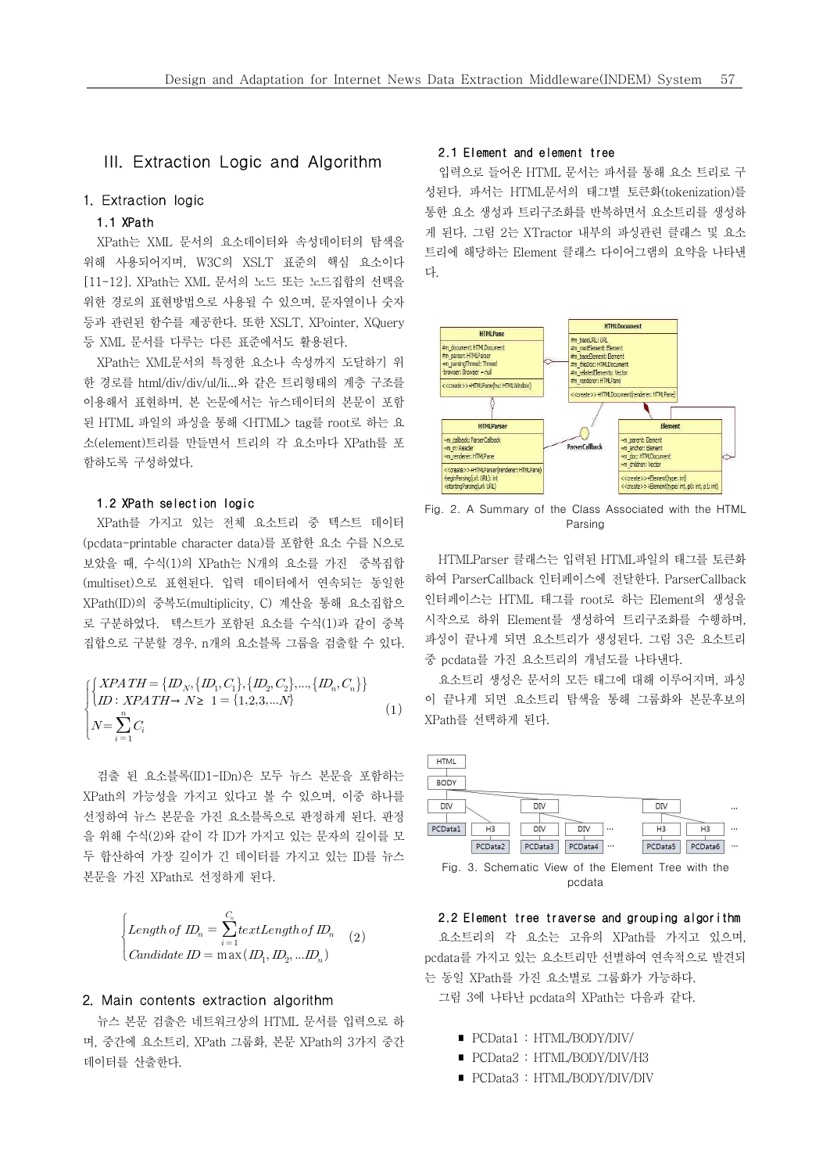# III. Extraction Logic and Algorithm

# 1. Extraction logic

### 1.1 XPath

XPath는 XML 문서의 요소데이터와 속성데이터의 탐색을 위해 사용되어지며, W3C의 XSLT 표준의 핵심 요소이다 [11-12]. XPath는 XML 문서의 노드 또는 노드집합의 선택을 위한 경로의 표현방법으로 사용될 수 있으며, 문자열이나 숫자 등과 관련된 함수를 제공한다. 또한 XSLT, XPointer, XQuery 등 XML 문서를 다루는 다른 표준에서도 활용된다.

XML 문서를 다두는 다른 표순에서도 활용된다.<br>XPath는 XML문서의 특정한 요소나 속성까지 도달하기 위해 <mark>imparest.iHMLParest</mark><br>h<mark>m.parsic.itimesal impar</mark> 한 경로를 html/div/div/ul/li...와 같은 트리형태의 계층 구조를 이용해서 표현하며, 본 논문에서는 뉴스데이터의 본문이 포함 된 HTML 파일의 파싱을 통해 <HTML> tag를 root로 하는 요 | THE HTMLParset 소(element)트리를 만들면서 트리의 각 요소마다 XPath를 포 함하도록 구성하였다.

### 1.2 XPath selection logic

XPath를 가지고 있는 전체 요소트리 중 텍스트 데이터 (pcdata-printable character data)를 포함한 요소 수를 N으로 보았을 때, 수식(1)의 XPath는 N개의 요소를 가진 중복집합 (multiset)으로 표현된다. 입력 데이터에서 연속되는 동일한 XPath(ID)의 중복도(multiplicity, C) 계산을 통해 요소집합으 로 구분하였다. 텍스트가 포함된 요소를 수식(1)과 같이 중복 < 시작으로 하위 Element를 생성하여 트리구조화를 수행하며, 집합으로 구분할 경우, n개의 요소블록 그룹을 검출할 수 있다.

$$
\begin{cases}\n\{XPATH = \{D_N, \{D_1, C_1\}, \{D_2, C_2\}, ..., \{D_n, C_n\}\} \\
\{D: XPATH \to N \ge 1 = \{1, 2, 3, ..., N\} \\
N = \sum_{i=1}^n C_i\n\end{cases}
$$
\n(1)

검출 된 요소블록(ID1-IDn)은 모두 뉴스 본문을 포함하는 XPath의 가능성을 가지고 있다고 볼 수 있으며, 이중 하나를 선정하여 뉴스 본문을 가진 요소블록으로 판정하게 된다. 판정 을 위해 수식(2)와 같이 각 ID가 가지고 있는 문자의 길이를 모 두 합산하여 가장 길이가 긴 데이터를 가지고 있는 ID를 뉴스 본문을 가진 XPath로 선정하게 된다.

$$
\begin{cases}\nLength of \nD_n = \sum_{i=1}^{C_n} textLength of \nD_n \\
Candidate \nD = \nmax(D_1, D_2, \ldots, D_n)\n\end{cases} \n(2)
$$

### 2. Main contents extraction algorithm

뉴스 본문 검출은 네트워크상의 HTML 문서를 입력으로 하 며, 중간에 요소트리, XPath 그룹화, 본문 XPath의 3가지 중간 데이터를 산출한다.

### 2.1 Element and element tree

입력으로 들어온 HTML 문서는 파서를 통해 요소 트리로 구 성된다. 파서는 HTML문서의 태그별 토큰화(tokenization)를 통한 요소 생성과 트리구조화를 반복하면서 요소트리를 생성하 게 된다. 그림 2는 XTractor 내부의 파싱관련 클래스 및 요소 트리에 해당하는 Element 클래스 다이어그램의 요약을 나타낸 다.



Fig. 2. A Summary of the Class Associated with the HTML Parsing

HTMLParser 클래스는 입력된 HTML파일의 태그를 토큰화 하여 ParserCallback 인터페이스에 전달한다. ParserCallback 인터페이스는 HTML 태그를 root로 하는 Element의 생성을 파싱이 끝나게 되면 요소트리가 생성된다. 그림 3은 요소트리 중 pcdata를 가진 요소트리의 개념도를 나타낸다.

요소트리 생성은 문서의 모든 태그에 대해 이루어지며, 파싱 이 끝나게 되면 요소트리 탐색을 통해 그룹화와 본문후보의 XPath를 선택하게 된다.

| <b>HTML</b> |                |         |         |          |                |                |          |
|-------------|----------------|---------|---------|----------|----------------|----------------|----------|
| <b>BODY</b> |                |         |         |          |                |                |          |
| DIV         |                | DIV     |         |          | DIV            |                |          |
| PCData1     | H <sub>3</sub> | DIV     | DIV     | $\cdots$ | H <sub>3</sub> | H <sub>3</sub> | $\cdots$ |
|             | PCData2        | PCData3 | PCData4 | $\cdots$ | PCData5        | PCData6        | $\cdots$ |

Fig. 3. Schematic View of the Element Tree with the pcdata

#### 2.2 Element tree traverse and grouping algorithm

요소트리의 각 요소는 고유의 XPath를 가지고 있으며, pcdata를 가지고 있는 요소트리만 선별하여 연속적으로 발견되 는 동일 XPath를 가진 요소별로 그룹화가 가능하다.

그림 3에 나타난 pcdata의 XPath는 다음과 같다.

- ∎ PCData1 : HTML/BODY/DIV/
- PCData2: HTML/BODY/DIV/H3
- PCData3: HTML/BODY/DIV/DIV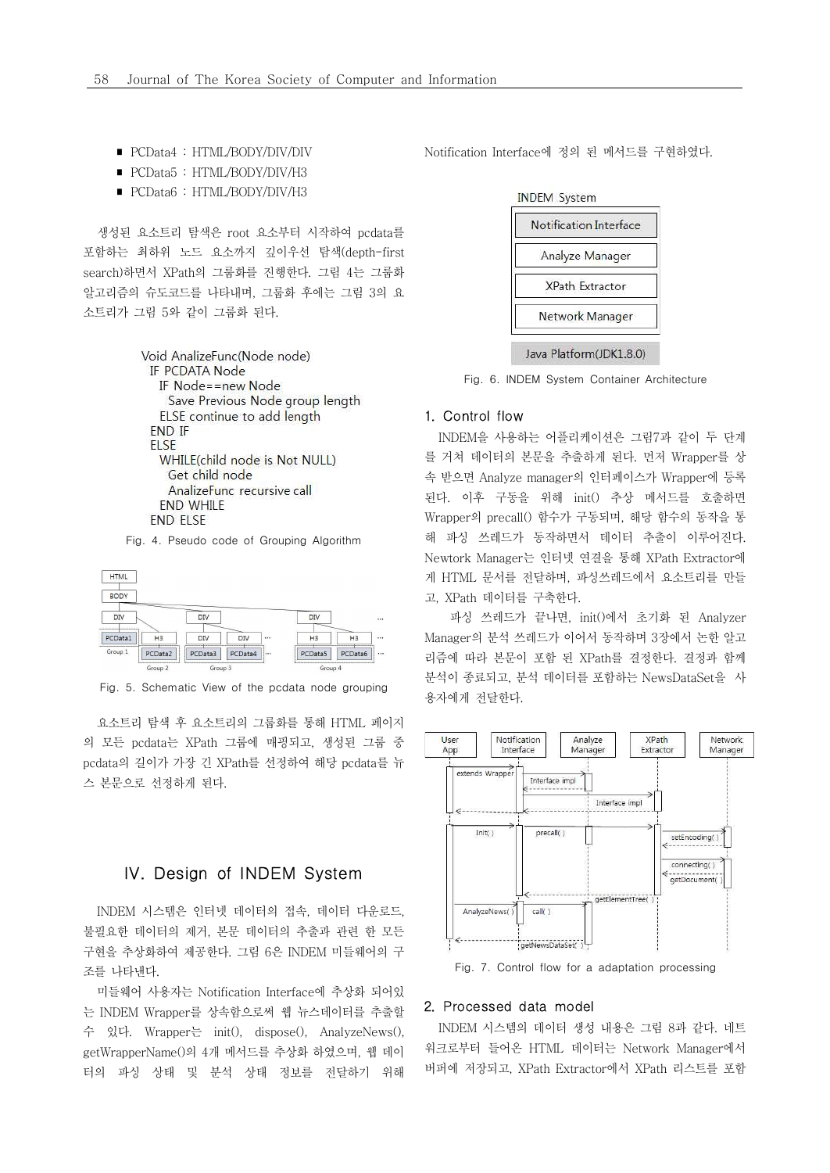- PCData4: HTML/BODY/DIV/DIV
- PCData5: HTML/BODY/DIV/H3
- PCData6 : HTML/BODY/DIV/H3

생성된 요소트리 탐색은 root 요소부터 시작하여 pcdata를 포함하는 최하위 노드 요소까지 깊이우선 탐색(depth-first search)하면서 XPath의 그룹화를 진행한다. 그림 4는 그룹화 알고리즘의 슈도코드를 나타내며, 그룹화 후에는 그림 3의 요 소트리가 그림 5와 같이 그룹화 된다.

```
Void AnalizeFunc(Node node)
 IF PCDATA Node
  IF Node==new Node
    Save Previous Node group length
  ELSE continue to add length
 END IF
 ELSE
  WHILE(child node is Not NULL)
    Get child node
    AnalizeFunc recursive call
  END WHILE
 END ELSE
```
Fig. 4. Pseudo code of Grouping Algorithm



Fig. 5. Schematic View of the pcdata node grouping

요소트리 탐색 후 요소트리의 그룹화를 통해 HTML 페이지 의 모든 pcdata는 XPath 그룹에 매핑되고, 생성된 그룹 중 | pcdata의 길이가 가장 긴 XPath를 선정하여 해당 pcdata를 뉴 스 본문으로 선정하게 된다.

# IV. Design of INDEM System

INDEM 시스템은 인터넷 데이터의 접속, 데이터 다운로드, 불필요한 데이터의 제거, 본문 데이터의 추출과 관련 한 모든 구현을 추상화하여 제공한다. 그림 6은 INDEM 미들웨어의 구 조를 나타낸다.

미들웨어 사용자는 Notification Interface에 추상화 되어있 는 INDEM Wrapper를 상속함으로써 웹 뉴스데이터를 추출할 수 있다. Wrapper는 init(), dispose(), AnalyzeNews(), getWrapperName()의 4개 메서드를 추상화 하였으며, 웹 데이 터의 파싱 상태 및 분석 상태 정보를 전달하기 위해 Notification Interface에 정의 된 메서드를 구현하였다.

| Notification Interface |
|------------------------|
| Analyze Manager        |
| XPath Extractor        |
| Network Manager        |

Java Platform(JDK1.8.0)

Fig. 6. INDEM System Container Architecture

### 1. Control flow

INDEM을 사용하는 어플리케이션은 그림7과 같이 두 단계 를 거쳐 데이터의 본문을 추출하게 된다. 먼저 Wrapper를 상 속 받으면 Analyze manager의 인터페이스가 Wrapper에 등록 된다. 이후 구동을 위해 init() 추상 메서드를 호출하면 Wrapper의 precall() 함수가 구동되며, 해당 함수의 동작을 통 해 파싱 쓰레드가 동작하면서 데이터 추출이 이루어진다.<br>Newtork Manager는 인터넷 연결을 통해 XPath Extractor에 게 HTML 문서를 전달하며, 파싱쓰레드에서 요소트리를 만들 고, XPath 데이터를 구축한다. 파싱 쓰레드가 끝나면, init()에서 초기화 된 Analyzer

Manager의 분석 쓰레드가 이어서 동작하며 3장에서 논한 알고 리즘에 따라 본문이 포함 된 XPath를 결정한다. 결정과 함께 분석이 종료되고, 분석 데이터를 포함하는 NewsDataSet을 사 용자에게 전달한다.



Fig. 7. Control flow for a adaptation processing

### 2. Processed data model

INDEM 시스템의 데이터 생성 내용은 그림 8과 같다. 네트 워크로부터 들어온 HTML 데이터는 Network Manager에서 버퍼에 저장되고, XPath Extractor에서 XPath 리스트를 포함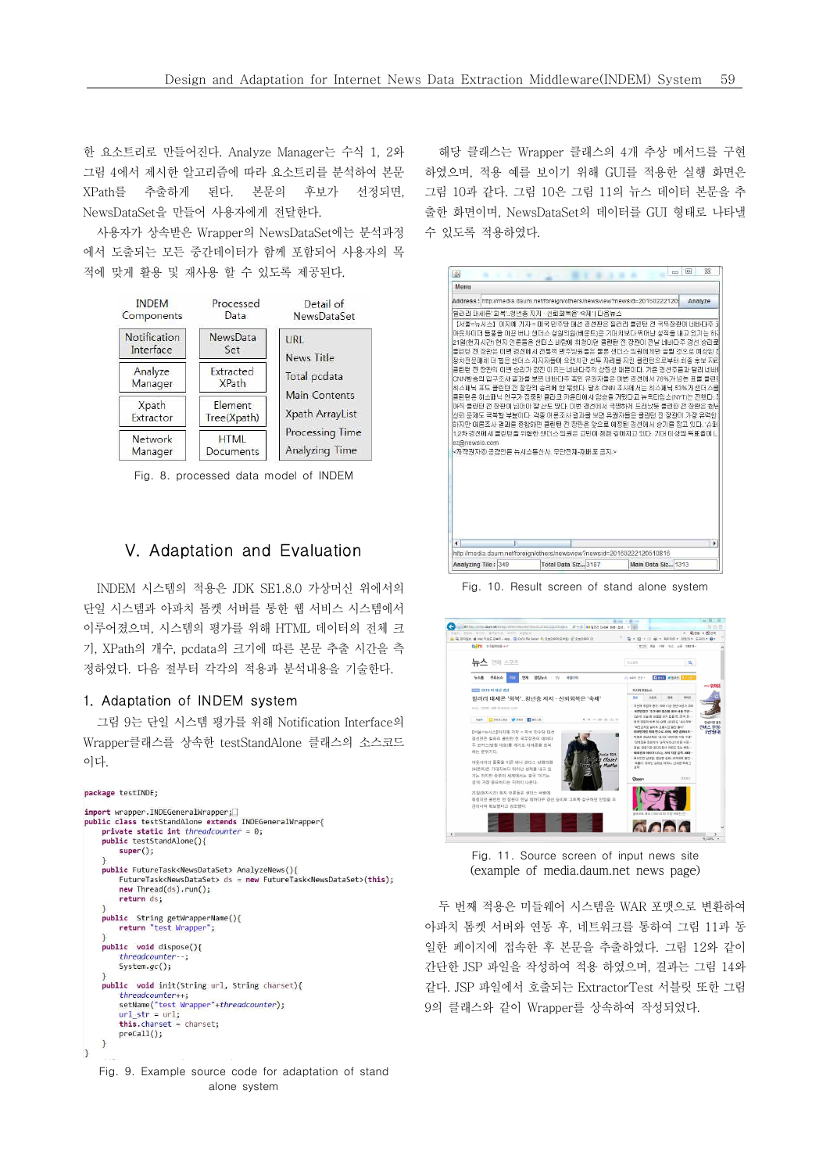한 요소트리로 만들어진다. Analyze Manager는 수식 1, 2와 그림 4에서 제시한 알고리즘에 따라 요소트리를 분석하여 본문 XPath를 추출하게 된다. 본문의 후보가 선정되면, NewsDataSet을 만들어 사용자에게 전달한다.

사용자가 상속받은 Wrapper의 NewsDataSet에는 분석과정 에서 도출되는 모든 중간데이터가 함께 포함되어 사용자의 목 적에 맞게 활용 및 재사용 할 수 있도록 제공된다.



Fig. 8. processed data model of INDEM

# V. Adaptation and Evaluation

INDEM 시스템의 적용은 JDK SE1.8.0 가상머신 위에서의 단일 시스템과 아파치 톰켓 서버를 통한 웹 서비스 시스템에서 이루어졌으며, 시스템의 평가를 위해 HTML 데이터의 전체 크 기, XPath의 개수, pcdata의 크기에 따른 본문 추출 시간을 측 정하였다. 다음 절부터 각각의 적용과 분석내용을 기술한다.

# 1. Adaptation of INDEM system

그림 9는 단일 시스템 평가를 위해 Notification Interface의 Wrapper클래스를 상속한 testStandAlone 클래스의 소스코드 | <sup>8458 #24</sup> #2458 #24 #25 #248 #24 이다.

#### package testINDE;

|               | import wrapper.INDEGeneralWrapper;                                                           |
|---------------|----------------------------------------------------------------------------------------------|
|               | public class testStandAlone extends INDEGeneralWrapper{                                      |
|               | private static int threadcounter = $0$ ;                                                     |
|               | public testStandAlone(){                                                                     |
|               | $super()$ ;                                                                                  |
| }             |                                                                                              |
|               | public FutureTask <newsdataset> AnalyzeNews(){</newsdataset>                                 |
|               | FutureTask <newsdataset> ds = new FutureTask<newsdataset>(this);</newsdataset></newsdataset> |
|               | $new Thread(ds).run()$ ;                                                                     |
|               | return ds;                                                                                   |
| $\mathcal{F}$ |                                                                                              |
|               | public String getWrapperName(){                                                              |
|               | return "test Wrapper";                                                                       |
| }             |                                                                                              |
|               | public void dispose(){                                                                       |
|               | threadcounter--;                                                                             |
|               | $System.qc()$ ;                                                                              |
| $\mathcal{F}$ |                                                                                              |
|               | public void init(String url, String charset){                                                |
|               | threadcounter++;                                                                             |
|               | setName("test Wrapper"+threadcounter);                                                       |
|               | $url str = url;$                                                                             |
|               | $this$ . charset = charset;                                                                  |
|               | $preCall()$ ;                                                                                |
| $\mathbf{L}$  |                                                                                              |
| ł             |                                                                                              |

Fig. 9. Example source code for adaptation of stand alone system

해당 클래스는 Wrapper 클래스의 4개 추상 메서드를 구현 하였으며, 적용 예를 보이기 위해 GUI를 적용한 실행 화면은 그림 10과 같다. 그림 10은 그림 11의 뉴스 데이터 본문을 추 출한 화면이며, NewsDataSet의 데이터를 GUI 형태로 나타낼 수 있도록 적용하였다.

| Address: http://media.daum.net/foreign/others/newsview?newsid=20160222120/                                                                                                                                                                                                                                                                                                                                                                                                                                                                                                                                                                                                                                                                                            |  |                                                        | Analyze      |
|-----------------------------------------------------------------------------------------------------------------------------------------------------------------------------------------------------------------------------------------------------------------------------------------------------------------------------------------------------------------------------------------------------------------------------------------------------------------------------------------------------------------------------------------------------------------------------------------------------------------------------------------------------------------------------------------------------------------------------------------------------------------------|--|--------------------------------------------------------|--------------|
| [할래리 대세론' 회복', 청년층 지지 · 신뢰회복은' 숙제' I 다음뉴스                                                                                                                                                                                                                                                                                                                                                                                                                                                                                                                                                                                                                                                                                                                             |  |                                                        |              |
| 마웃사미터 돌풍을 마끈 버니 샌더스 상원의원(버몬트)은 기대치보다 뛰어난 성적을 내고 있기는 하J<br>21일(현지시간) 현지 연론들은 샌더스 바람에 휘청미던 클린턴 전 장관이 전날 네바다주 경선 승리로<br>클린턴 전 장관은 미번 경선에서 전통적 민주당원들은 물론 샌더스 의원에게만 쏠릴 것으로 예상된 7<br>정치전문매체 더 할은 샌더스 자자자들이 오랜시간 선두 자리를 자킨 클린턴으로부터 최종 후보 자리<br>클린턴 전 장관의 미번 승리가 값진 미유는 네바다주의 상징성 때문이다. 가존 경선주들과 달리 네바<br>ICNN방송의 입구조사 결과를 보면 네바다주 혹인 유권자들은 이번 경선에서 76%가 넘는 표를 클린티<br>히스패닉 표도 클린턴 전 장관의 승리에 한 몫했다. 당초 CNN 조사에서는 히스패닉 53%가 센터스를<br>클린턴은 히스패닉 인구가 집중된 콜라크 카운티에서 압승을 거뒀다고 뉴욕타임스(NYT)는 전했다. 킹<br>마직 클린턴 전 장관이 넘어야 할 산도 많다. 이번 경선에서 국명하게 드러났듯<br>신뢰 문제도 극복할 부분이다. 각종 여론조사 결과를 보면 유권자들은 클린턴 전 장관이 가장 유력한<br>하지만 여론조사 결과를 종합하면 불린턴 전 장관은 앞으로 예정된 경선에서 승기를 잡고 있다. '슈퍼<br>1.2차 경선에서 클린턴을 위협한 샌더스 의원은 고민이 점점 깊어지고 있다. 기대 이상의 독표율이<br>ez@newsis.com<br><저작권자ⓒ 공감연론 뉴시스통신사. 무단전재-재배포 금지.> |  | 【서울=뉴시스】이지예 기자 = 미국 민주당 대선 경선판은 힐러리 클린턴 전 국무장관이 네바다주 : | 클리터 전 장관은 청년 |
|                                                                                                                                                                                                                                                                                                                                                                                                                                                                                                                                                                                                                                                                                                                                                                       |  |                                                        |              |

Fig. 10. Result screen of stand alone system



Fig. 11. Source screen of input news site (example of media.daum.net news page)

두 번째 적용은 미들웨어 시스템을 WAR 포맷으로 변환하여 아파치 톰켓 서버와 연동 후, 네트워크를 통하여 그림 11과 동 일한 페이지에 접속한 후 본문을 추출하였다. 그림 12와 같이 간단한 JSP 파일을 작성하여 적용 하였으며, 결과는 그림 14와 같다. JSP 파일에서 호출되는 ExtractorTest 서블릿 또한 그림 9의 클래스와 같이 Wrapper를 상속하여 작성되었다.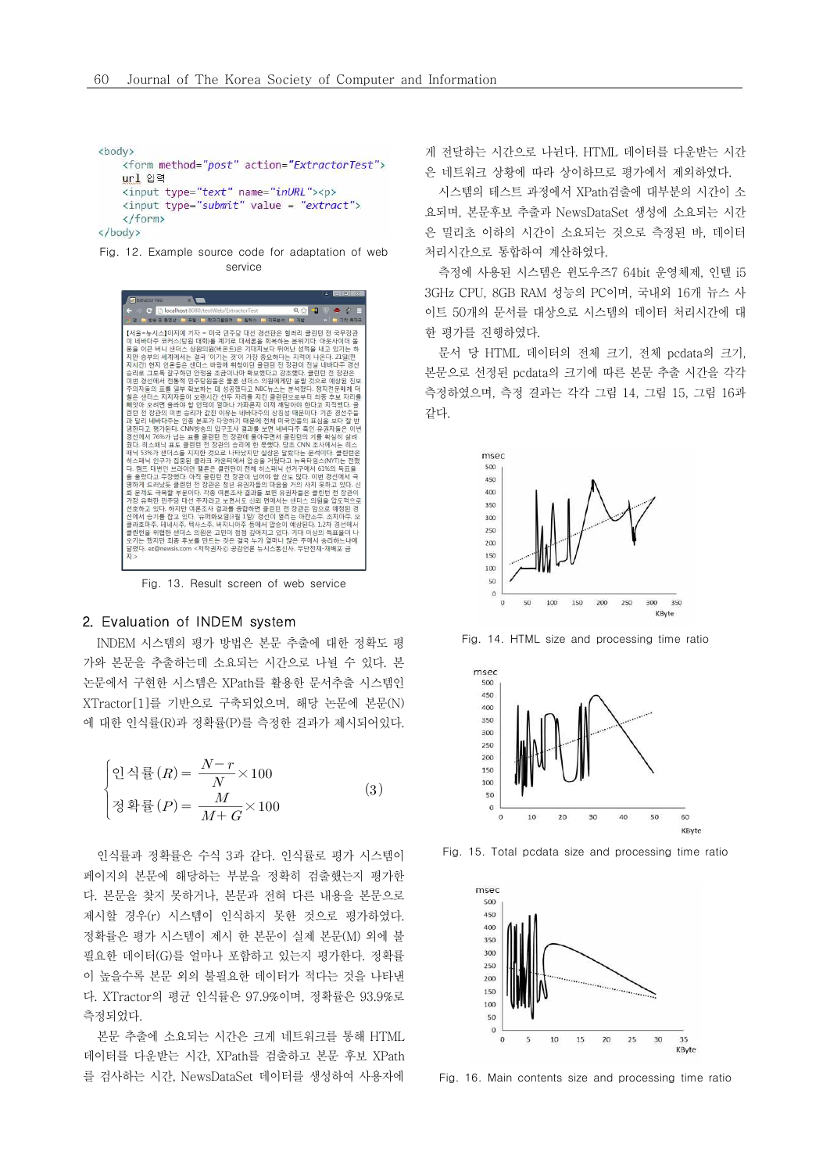```
<body>
    <form method="post" action="ExtractorTest">
    url 안력
    <input type="text" name="inURL"><p>
    <input type="submit" value = "extract">
    </form>
</body>
```
Fig. 12. Example source code for adaptation of web service



Fig. 13. Result screen of web service

### 2. Evaluation of INDEM system

INDEM 시스템의 평가 방법은 본문 추출에 대한 정확도 평 가와 본문을 추출하는데 소요되는 시간으로 나뉠 수 있다. 본 논문에서 구현한 시스템은 XPath를 활용한 문서추출 시스템인 XTractor[1]를 기반으로 구축되었으며, 해당 논문에 본문(N) 에 대한 인식률(R)과 정확률(P)를 측정한 결과가 제시되어있다.

 인식률 × 정확률 × 

인식률과 정확률은 수식 3과 같다. 인식률로 평가 시스템이 페이지의 본문에 해당하는 부분을 정확히 검출했는지 평가한 다. 본문을 찾지 못하거나, 본문과 전혀 다른 내용을 본문으로 제시할 경우(r) 시스템이 인식하지 못한 것으로 평가하였다.  $^{450}$ <br>정확률은 평가 시스템이 제시 한 본문이 실제 본문(M) 외에 불  $^{450}$ 필요한 데이터(G)를 얼마나 포함하고 있는지 평가한다. 정확률 이 높을수록 본문 외의 불필요한 데이터가 적다는 것을 나타낸 다. XTractor의 평균 인식률은 97.9%이며, 정확률은 93.9%로 측정되었다.

본문 추출에 소요되는 시간은 크게 네트워크를 통해 HTML 데이터를 다운받는 시간, XPath를 검출하고 본문 후보 XPath 를 검사하는 시간, NewsDataSet 데이터를 생성하여 사용자에 게 전달하는 시간으로 나뉜다. HTML 데이터를 다운받는 시간 은 네트워크 상황에 따라 상이하므로 평가에서 제외하였다.<br>-<br>시스템의 테스트 과정에서 XPath검출에 대부분의 시가이 소

요되며, 본문후보 추출과 NewsDataSet 생성에 소요되는 시간 은 밀리초 이하의 시간이 소요되는 것으로 측정된 바, 데이터 처리시간으로 통합하여 계산하였다.<br>- 측정에 사용된 시스템은 윈도우즈7 64bit 운영체제, 인텔 i5

3GHz CPU, 8GB RAM 성능의 PC이며, 국내외 16개 뉴스 사 이트 50개의 문서를 대상으로 시스템의 데이터 처리시간에 대 한 평가를 진행하였다.

- 문서 당 HTML 데이터의 전체 크기, 전체 pcdata의 크기,<br>본문으로 선정된 pcdata의 크기에 따른 본문 추출 시간을 각각 측정하였으며, 측정 결과는 각각 그림 14, 그림 15, 그림 16과 같다.



Fig. 14. HTML size and processing time ratio



Fig. 15. Total pcdata size and processing time ratio



Fig. 16. Main contents size and processing time ratio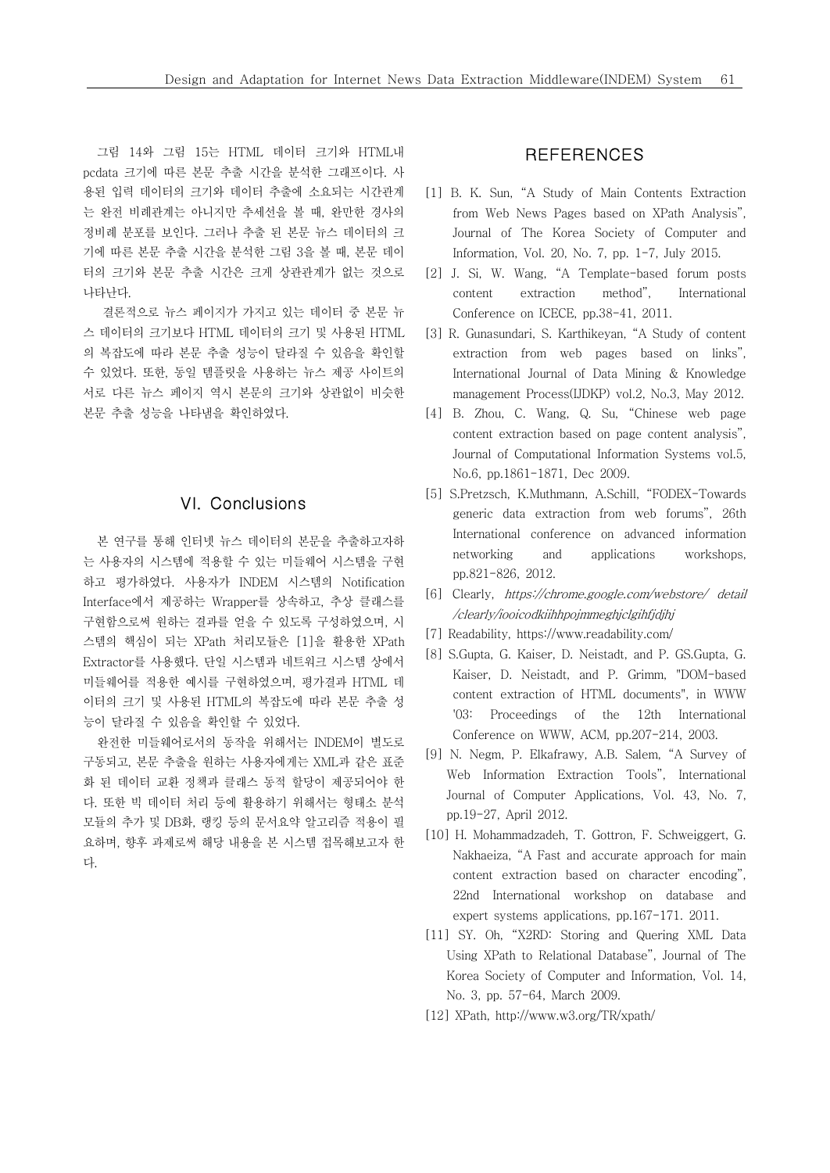그림 14와 그림 15는 HTML 데이터 크기와 HTML내 pcdata 크기에 따른 본문 추출 시간을 분석한 그래프이다. 사 용된 입력 데이터의 크기와 데이터 추출에 소요되는 시간관계 는 완전 비례관계는 아니지만 추세선을 볼 때, 완만한 경사의 정비례 분포를 보인다. 그러나 추출 된 본문 뉴스 데이터의 크 기에 따른 본문 추출 시간을 분석한 그림 3을 볼 때, 본문 데이 터의 크기와 본문 추출 시간은 크게 상관관계가 없는 것으로 나타난다. 결론적으로 뉴스 페이지가 가지고 있는 데이터 중 본문 뉴

스 데이터의 크기보다 HTML 데이터의 크기 및 사용된 HTML 의 복잡도에 따라 본문 추출 성능이 달라질 수 있음을 확인할 수 있었다. 또한, 동일 템플릿을 사용하는 뉴스 제공 사이트의 서로 다른 뉴스 페이지 역시 본문의 크기와 상관없이 비슷한 본문 추출 성능을 나타냄을 확인하였다.

# VI. Conclusions

본 연구를 통해 인터넷 뉴스 데이터의 본문을 추출하고자하 는 사용자의 시스템에 적용할 수 있는 미들웨어 시스템을 구현 하고 평가하였다. 사용자가 INDEM 시스템의 Notification Interface에서 제공하는 Wrapper를 상속하고, 추상 클래스를 구현함으로써 원하는 결과를 얻을 수 있도록 구성하였으며, 시 스템의 핵심이 되는 XPath 처리모듈은 [1]을 활용한 XPath Extractor를 사용했다. 단일 시스템과 네트워크 시스템 상에서 미들웨어를 적용한 예시를 구현하였으며, 평가결과 HTML 데 이터의 크기 및 사용된 HTML의 복잡도에 따라 본문 추출 성 능이 달라질 수 있음을 확인할 수 있었다.

완전한 미들웨어로서의 동작을 위해서는 INDEM이 별도로 구동되고, 본문 추출을 원하는 사용자에게는 XML과 같은 표준 화 된 데이터 교환 정책과 클래스 동적 할당이 제공되어야 한 다. 또한 빅 데이터 처리 등에 활용하기 위해서는 형태소 분석 모듈의 추가 및 DB화, 랭킹 등의 문서요약 알고리즘 적용이 필 요하며, 향후 과제로써 해당 내용을 본 시스템 접목해보고자 한 다.

# **REFERENCES**

- [1] B. K. Sun, "A Study of Main Contents Extraction from Web News Pages based on XPath Analysis", Journal of The Korea Society of Computer and Information, Vol. 20, No. 7, pp. 1-7, July 2015.
- [2] J. Si, W. Wang, "A Template-based forum posts extraction method", International Conference on ICECE, pp.38-41, 2011.
- [3] R. Gunasundari, S. Karthikeyan, "A Study of content extraction from web pages based on links", International Journal of Data Mining & Knowledge management Process(IJDKP) vol.2, No.3, May 2012.
- [4] B. Zhou, C. Wang, Q. Su, "Chinese web page content extraction based on page content analysis", Journal of Computational Information Systems vol.5, No.6, pp.1861-1871, Dec 2009.
- [5] S.Pretzsch, K.Muthmann, A.Schill, "FODEX-Towards generic data extraction from web forums", 26th International conference on advanced information and applications workshops, pp.821-826, 2012.
- [6] Clearly, https://chrome.google.com/webstore/ detail /clearly/iooicodkiihhpojmmeghjclgihfjdjhj
- [7] Readability, https://www.readability.com/
- [8] S.Gupta, G. Kaiser, D. Neistadt, and P. GS.Gupta, G. Kaiser, D. Neistadt, and P. Grimm, "DOM-based content extraction of HTML documents", in WWW '03: Proceedings of the 12th International Conference on WWW, ACM, pp.207-214, 2003.
- [9] N. Negm, P. Elkafrawy, A.B. Salem, "A Survey of Web Information Extraction Tools", International Journal of Computer Applications, Vol. 43, No. 7, pp.19-27, April 2012.
- [10] H. Mohammadzadeh, T. Gottron, F. Schweiggert, G. Nakhaeiza, "A Fast and accurate approach for main content extraction based on character encoding", 22nd International workshop on database and expert systems applications, pp.167-171. 2011.
- [11] SY. Oh, "X2RD: Storing and Quering XML Data Using XPath to Relational Database", Journal of The Korea Society of Computer and Information, Vol. 14, No. 3, pp. 57-64, March 2009.
- [12] XPath, http://www.w3.org/TR/xpath/